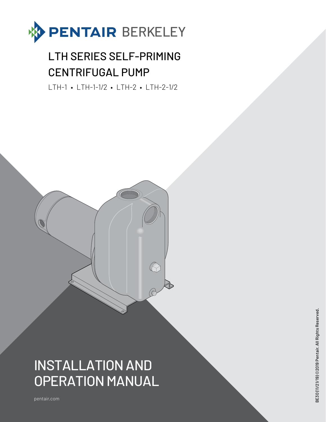

# LTH SERIES SELF-PRIMING CENTRIFUGAL PUMP

LTH-1 LTH-1-1/2 LTH-2 LTH-2-1/2

# INSTALLATION AND OPERATION MANUAL

pentair.com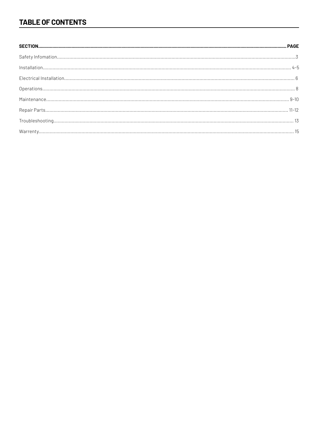# **TABLE OF CONTENTS**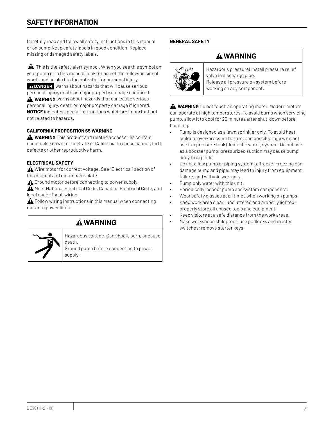# **SAFETY INFORMATION**

Carefully read and follow all safety instructions in this manual or on pump.Keep safety labels in good condition. Replace missing or damaged safety labels.

 $\bigwedge$  This is the safety alert symbol. When you see this symbol on your pump or in this manual, look for one of the following signal words and be alert to the potential for personal injury. A DANGER warns about hazards that will cause serious personal injury, death or major property damage if ignored. **A** WARNING warns about hazards that can cause serious personal injury, death or major property damage if ignored. **NOTICE** indicates special instructions which are important but not related to hazards.

## **CALIFORNIA PROPOSITION 65 WARNING**

**A** WARNING This product and related accessories contain chemicals known to the State of California to cause cancer, birth defects or other reproductive harm.

## **ELECTRICAL SAFETY**

Wire motor for correct voltage. See "Electrical" section of this manual and motor nameplate.

Ground motor before connecting to power supply.

A Meet National Electrical Code, Canadian Electrical Code, and local codes for all wiring.

or cause.

**A** Follow wiring instructions in this manual when connecting motor to power lines.

| <b>A WARNING</b>                                    |
|-----------------------------------------------------|
| Hazardous voltage. Can shock, burn, or ca<br>death. |
| Ground pump before connecting to power<br>supply.   |

## **GENERAL SAFETY**

## **A WARNING**



Hazardous pressure! Install pressure relief valve in discharge pipe. Release all pressure on system before working on any component.

**A** WARNING Do not touch an operating motor. Modern motors can operate at high temperatures. To avoid burns when servicing pump, allow it to cool for 20 minutes after shut-down before handling.

- Pump is designed as a lawn sprinkler only. To avoid heat buildup, over-pressure hazard, and possible injury, do not use in a pressure tank (domestic water) system. Do not use as a booster pump; pressurized suction may cause pump body to explode.
- Do not allow pump or piping system to freeze. Freezing can damage pump and pipe, may lead to injury from equipment failure, and will void warranty.
- Pump only water with this unit.
- Periodically inspect pump and system components.
- Wear safety glasses at all times when working on pumps.
- Keep work area clean, uncluttered and properly lighted; properly store all unused tools and equipment.
- Keep visitors at a safe distance from the work areas.
- Make workshops childproof; use padlocks and master switches; remove starter keys.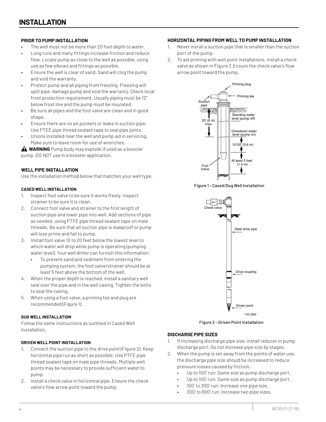#### **PRIOR TO PUMP INSTALLATION**

- The well must not be more than 20 foot depth to water.
- Long runs and many fittings increase friction and reduce flow. Locate pump as close to the well as possible, using use as few elbows and fittings as possible.
- Ensure the well is clear of sand. Sand will clog the pump and void the warranty.
- Protect pump and all piping from freezing. Freezing will split pipe, damage pump and void the warranty. Check local frost protection requirement. Usually piping must be 12" below frost line and the pump must be insulated.
- Be sure all pipes and the foot valve are clean and in good shape.
- Ensure there are no air pockets or leaks in suction pipe. Use PTEE pipe thread sealant tape to seal pipe joints.
- Unions installed near the well and pump aid in servicing. Make sure to leave room for use of wrenches.

**A** WARNING Pump body may explode if used as a booster pump. DO NOT use in a booster application.

## **WELL PIPE INSTALLATION**

Use the installation method below that matches your well type.

#### **CASED WELL INSTALLATION**

- 1. Inspect foot valve to be sure it works freely. Inspect strainer to be sure it is clean.
- 2. Connect foot valve and strainer to the first length of suction pipe and lower pipe into well. Add sections of pipe as needed, using PTFE pipe thread sealant tape on male threads. Be sure that all suction pipe is leakproof or pump will lose prime and fail to pump.
- 3. Install foot valve 10 to 20 feet below the lowest level to which water will drop while pump is operating (pumping water level). Your well driller can furnish this information.
	- To prevent sand and sediment from entering the pumping system, the foot valve/strainer should be at least 5 feet above the bottom of the well.
- 4. When the proper depth is reached, install a sanitary well seal over the pipe and in the well casing. Tighten the bolts to seal the casing.
- 5. When using a foot valve, a priming tee and plug are recommended (Figure 1).

### **DUG WELL INSTALLATION**

Follow the same instructions as outlined in Cased Well **Installation** 

## **DRIVEN WELL POINT INSTALLATION**

- 1. Connect the suction pipe to the drive point (Figure 2). Keep horizontal pipe run as short as possible. Use PTFE pipe thread sealant tape on male pipe threads. Multiple well points may be necessary to provide sufficient water to pump.
- Install a check valve in horizontal pipe. Ensure the check valve's flow arrow point toward the pump.

#### **HORIZONTAL PIPING FROM WELL TO PUMP INSTALLATION**

- 1. Never install a suction pipe that is smaller than the suction port of the pump.
- 2. To aid priming with well point installations, install a check valve as shown in Figure 2.Ensure the check valve's flow arrow point toward the pump.



Figure 1 - Cased/Dug Well Installation



Figure 2 – Driven Point Installation

#### **DISCHARGE PIPE SIZES**

- 1. If increasing discharge pipe size, install reducer in pump discharge port. Do not increase pipe size by stages.
- 2. When the pump is set away from the points of water use, the discharge pipe size should be increased to reduce pressure losses caused by friction.
	- Up to 100' run: Same size as pump discharge port.
	- Up to 100' run: Same size as pump discharge port.
	- 100' to 300' run: Increase one pipe size.
	- 300' to 600' run: Increase two pipe sizes.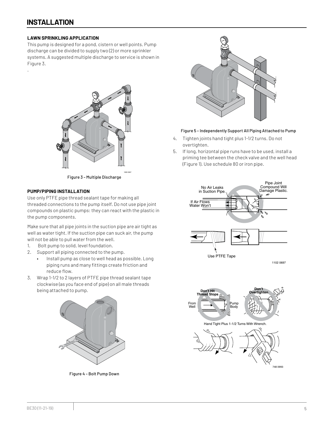# **INSTALLATION**

.

#### **LAWN SPRINKLING APPLICATION**

This pump is designed for a pond, cistern or well points. Pump discharge can be divided to supply two (2) or more sprinkler systems. A suggested multiple discharge to service is shown in Figure 3.



Figure 3 – Multiple Discharge

#### **PUMP/PIPING INSTALLATION**

Use only PTFE pipe thread sealant tape for making all threaded connections to the pump itself. Do not use pipe joint compounds on plastic pumps: they can react with the plastic in the pump components.

Make sure that all pipe joints in the suction pipe are air tight as well as water tight. If the suction pipe can suck air, the pump will not be able to pull water from the well.

- 1. Bolt pump to solid, level foundation.
- 2. Support all piping connected to the pump.
	- Install pump as close to well head as possible. Long piping runs and many fittings create friction and reduce flow.
- 3. Wrap 1-1/2 to 2 layers of PTFE pipe thread sealant tape clockwise (as you face end of pipe) on all male threads being attached to pump.



Figure 4 - Bolt Pump Down



#### Figure 5 – Independently Support All Piping Attached to Pump

- 4. Tighten joints hand tight plus 1-1/2 turns. Do not overtighten.
- 5. If long, horizontal pipe runs have to be used, install a priming tee between the check valve and the well head (Figure 1). Use schedule 80 or iron pipe.



1102 0697



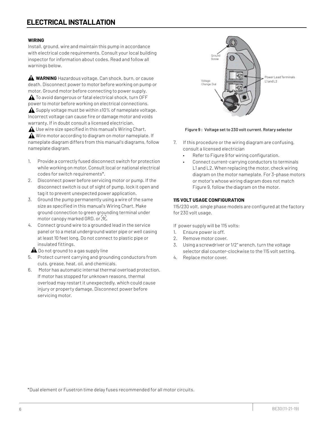### **WIRING**

Install, ground, wire and maintain this pump in accordance with electrical code requirements. Consult your local building inspector for information about codes. Read and follow all warnings below.

**WARNING** Hazardous voltage. Can shock, burn, or cause death. Disconnect power to motor before working on pump or motor. Ground motor before connecting to power supply.

A To avoid dangerous or fatal electrical shock, turn OFF power to motor before working on electrical connections. A Supply voltage must be within ±10% of nameplate voltage. Incorrect voltage can cause fire or damage motor and voids warranty. If in doubt consult a licensed electrician.

A Use wire size specified in this manual's Wiring Chart. A Wire motor according to diagram on motor nameplate. If nameplate diagram differs from this manual's diagrams, follow nameplate diagram.

- 1. Provide a correctly fused disconnect switch for protection while working on motor. Consult local or national electrical codes for switch requirements\*.
- 2. Disconnect power before servicing motor or pump. If the disconnect switch is out of sight of pump, lock it open and tag it to prevent unexpected power application.
- 3. Ground the pump permanently using a wire of the same size as specified in this manual's Wiring Chart. Make ground connection to green grounding terminal under motor canopy marked GRD. or  $\leftarrow$ .
- 4. Connect ground wire to a grounded lead in the service panel or to a metal underground water pipe or well casing at least 10 feet long. Do not connect to plastic pipe or insulated fittings.

 $\triangle$  Do not ground to a gas supply line

- 5. Protect current carrying and grounding conductors from cuts, grease, heat, oil, and chemicals.
- 6. Motor has automatic internal thermal overload protection. If motor has stopped for unknown reasons, thermal overload may restart it unexpectedly, which could cause injury or property damage. Disconnect power before servicing motor.



#### Figure 9 : Voltage set to 230 volt current. Rotary selector

- 7. If this procedure or the wiring diagram are confusing, consult a licensed electrician
	- Refer to Figure 9 for wiring configuration.
	- Connect current-carrying conductors to terminals L1 and L2. When replacing the motor, check wiring diagram on the motor nameplate. For 3-phase motors or motor's whose wiring diagram does not match Figure 9, follow the diagram on the motor.

## **115 VOLT USAGE CONFIGURATION**

115/230 volt, single phase models are configured at the factory for 230 volt usage.

If power supply will be 115 volts:

- 1. Ensure power is off.
- 2. Remove motor cover.
- 3. Using a screwdriver or 1/2" wrench, turn the voltage selector dial counter-clockwise to the 115 volt setting.
- 4. Replace motor cover.

\*Dual element or Fusetron time delay fuses recommended for all motor circuits.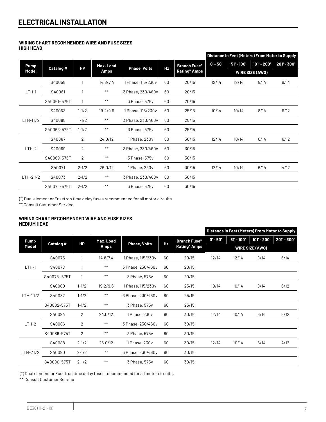#### **WIRING CHART RECOMMENDED WIRE AND FUSE SIZES HIGH HEAD**

|            |             |                |           |                     |    |                     |                        | <b>Distance in Feet (Meters) From Motor to Supply</b> |               |              |
|------------|-------------|----------------|-----------|---------------------|----|---------------------|------------------------|-------------------------------------------------------|---------------|--------------|
| Pump       |             | HP             | Max. Load |                     | Hz | <b>Branch Fuse*</b> | $0' - 50'$             | $51' - 100'$                                          | $101' - 200'$ | $201 - 300'$ |
| Model      | Catalog#    |                | Amps      | <b>Phase, Volts</b> |    | <b>Rating* Amps</b> | <b>WIRE SIZE (AWG)</b> |                                                       |               |              |
|            | S40058      |                | 14.8/7.4  | 1 Phase, 115/230v   | 60 | 20/15               | 12/14                  | 12/14                                                 | 8/14          | 6/14         |
| $LTH-1$    | S40061      |                | $***$     | 3 Phase, 230/460v   | 60 | 20/15               |                        |                                                       |               |              |
|            | S40061-575T |                | $***$     | 3 Phase, 575v       | 60 | 20/15               |                        |                                                       |               |              |
|            | S40063      | $1 - 1/2$      | 19.2/9.6  | 1 Phase, 115/230v   | 60 | 25/15               | 10/14                  | 10/14                                                 | 8/14          | 6/12         |
| $LTH-11/2$ | S40065      | $1 - 1/2$      | $***$     | 3 Phase, 230/460v   | 60 | 25/15               |                        |                                                       |               |              |
|            | S40063-575T | $1 - 1/2$      | $***$     | 3 Phase, 575v       | 60 | 25/15               |                        |                                                       |               |              |
|            | S40067      | 2              | 24.0/12   | 1 Phase, 230 v      | 60 | 30/15               | 12/14                  | 10/14                                                 | 6/14          | 6/12         |
| $LTH-2$    | S40069      | 2              | $***$     | 3 Phase, 230/460v   | 60 | 30/15               |                        |                                                       |               |              |
|            | S40069-575T | $\overline{2}$ | $***$     | 3 Phase, 575v       | 60 | 30/15               |                        |                                                       |               |              |
|            | S40071      | $2 - 1/2$      | 26.0/12   | 1 Phase, 230v       | 60 | 30/15               | 12/14                  | 10/14                                                 | 6/14          | 4/12         |
| $LTH-21/2$ | S40073      | $2 - 1/2$      | $***$     | 3 Phase, 230/460v   | 60 | 30/15               |                        |                                                       |               |              |
|            | S40073-575T | $2 - 1/2$      | $***$     | 3 Phase, 575v       | 60 | 30/15               |                        |                                                       |               |              |

(\*) Dual element or Fusetron time delay fuses recommended for all motor circuits.

\*\* Consult Customer Service

#### **WIRING CHART RECOMMENDED WIRE AND FUSE SIZES MEDIUM HEAD**

|            |             |                |            |                     |    |                     |                 | Distance in Feet (Meters) From Motor to Supply |             |             |
|------------|-------------|----------------|------------|---------------------|----|---------------------|-----------------|------------------------------------------------|-------------|-------------|
| Pump       |             | HP             | Max. Load  | <b>Phase, Volts</b> | Hz | <b>Branch Fuse*</b> | $0' - 50'$      | $51' - 100'$                                   | 101' - 200' | 201' - 300' |
| Model      | Catalog #   |                | Amps       |                     |    | <b>Rating* Amps</b> | WIRE SIZE (AWG) |                                                |             |             |
|            | S40075      |                | 14.8/7.4   | 1 Phase, 115/230v   | 60 | 20/15               | 12/14           | 12/14                                          | 8/14        | 6/14        |
| $LTH-1$    | S40078      |                | $\ast\ast$ | 3 Phase, 230/460v   | 60 | 20/15               |                 |                                                |             |             |
|            | S40078-575T |                | $\ast\ast$ | 3 Phase, 575v       | 60 | 20/15               |                 |                                                |             |             |
|            | S40080      | $1 - 1/2$      | 19.2/9.6   | 1 Phase, 115/230v   | 60 | 25/15               | 10/14           | 10/14                                          | 8/14        | 6/12        |
| $LTH-11/2$ | S40082      | $1 - 1/2$      | $\ast\ast$ | 3 Phase, 230/460v   | 60 | 25/15               |                 |                                                |             |             |
|            | S40082-575T | $1 - 1/2$      | $***$      | 3 Phase, 575v       | 60 | 25/15               |                 |                                                |             |             |
|            | S40084      | $\overline{2}$ | 24.0/12    | 1 Phase, 230 v      | 60 | 30/15               | 12/14           | 10/14                                          | 6/14        | 6/12        |
| $LTH-2$    | S40086      | $\overline{2}$ | $\ast\ast$ | 3 Phase, 230/460v   | 60 | 30/15               |                 |                                                |             |             |
|            | S40086-575T | $\overline{2}$ | $\ast\ast$ | 3 Phase, 575v       | 60 | 30/15               |                 |                                                |             |             |
|            | S40088      | $2 - 1/2$      | 26.0/12    | 1 Phase, 230 v      | 60 | 30/15               | 12/14           | 10/14                                          | 6/14        | 4/12        |
| LTH-21/2   | S40090      | $2 - 1/2$      | $\ast\ast$ | 3 Phase, 230/460v   | 60 | 30/15               |                 |                                                |             |             |
|            | S40090-575T | $2 - 1/2$      | $***$      | 3 Phase, 575v       | 60 | 30/15               |                 |                                                |             |             |

(\*) Dual element or Fusetron time delay fuses recommended for all motor circuits.

\*\* Consult Customer Service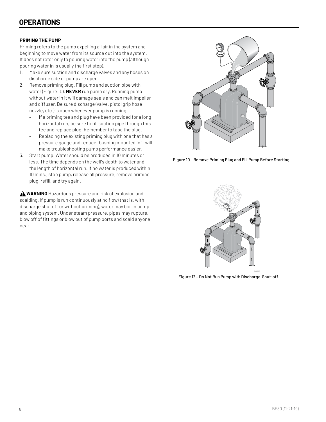## **OPERATIONS**

### **PRIMING THE PUMP**

Priming refers to the pump expelling all air in the system and beginning to move water from its source out into the system. It does not refer only to pouring water into the pump (although pouring water in is usually the first step).

- 1. Make sure suction and discharge valves and any hoses on discharge side of pump are open.
- 2. Remove priming plug. Fill pump and suction pipe with water (Figure 10). **NEVER** run pump dry. Running pump without water in it will damage seals and can melt impeller and diffuser. Be sure discharge (valve, pistol grip hose nozzle, etc.) is open whenever pump is running.
	- If a priming tee and plug have been provided for a long horizontal run, be sure to fill suction pipe through this tee and replace plug. Remember to tape the plug.
	- Replacing the existing priming plug with one that has a pressure gauge and reducer bushing mounted in it will make troubleshooting pump performance easier.
- 3. Start pump. Water should be produced in 10 minutes or less. The time depends on the well's depth to water and the length of horizontal run. If no water is produced within 10 mins., stop pump, release all pressure, remove priming plug, refill, and try again.

 **WARNING** Hazardous pressure and risk of explosion and scalding. If pump is run continuously at no flow (that is, with discharge shut off or without priming), water may boil in pump and piping system. Under steam pressure, pipes may rupture, blow off of fittings or blow out of pump ports and scald anyone near.



Figure 10 – Remove Priming Plug and Fill Pump Before Starting



Figure 12 – Do Not Run Pump with Discharge Shut-off.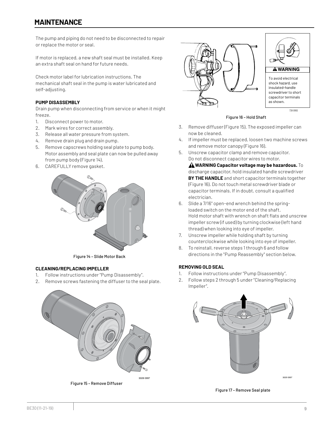## **MAINTENANCE**

The pump and piping do not need to be disconnected to repair or replace the motor or seal.

If motor is replaced, a new shaft seal must be installed. Keep an extra shaft seal on hand for future needs.

Check motor label for lubrication instructions. The mechanical shaft seal in the pump is water lubricated and self-adjusting.

#### **PUMP DISASSEMBLY**

Drain pump when disconnecting from service or when it might freeze.

- 1. Disconnect power to motor.
- 2. Mark wires for correct assembly.
- 3. Release all water pressure from system.
- 4. Remove drain plug and drain pump.
- 5. Remove capscrews holding seal plate to pump body. Motor assembly and seal plate can now be pulled away from pump body (Figure 14).
- 6. CAREFULLY remove gasket.



Figure 14 – Slide Motor Back

#### **CLEANING/REPLACING IMPELLER**

- 1. Follow instructions under "Pump Disassembly".
- 2. Remove screws fastening the diffuser to the seal plate.







To avoid electrical shock hazard, use insulated-handle screwdriver to short capacitor terminals as shown.

739 0993

#### Figure 16 – Hold Shaft

- 3. Remove diffuser (Figure 15). The exposed impeller can now be cleaned.
- 4. If impeller must be replaced, loosen two machine screws and remove motor canopy (Figure 16).
- 5. Unscrew capacitor clamp and remove capacitor. Do not disconnect capacitor wires to motor.
	- **WARNING Capacitor voltage may be hazardous.** To discharge capacitor, hold insulated handle screwdriver **BY THE HANDLE** and short capacitor terminals together (Figure 16). Do not touch metal screwdriver blade or capacitor terminals. If in doubt, consult a qualified electrician.
- 6. Slide a 7/16" open-end wrench behind the springloaded switch on the motor end of the shaft. Hold motor shaft with wrench on shaft flats and unscrew impeller screw (if used) by turning clockwise (left hand thread) when looking into eye of impeller.
- 7. Unscrew impeller while holding shaft by turning counterclockwise while looking into eye of impeller.
- 8. To reinstall, reverse steps 1 through 6 and follow directions in the "Pump Reassembly" section below.

#### **REMOVING OLD SEAL**

- 1. Follow instructions under "Pump Disassembly".
- 2. Follow steps 2 through 5 under "Cleaning/Replacing Impeller".



Figure 17 – Remove Seal plate

BE30 (11-21-19) 9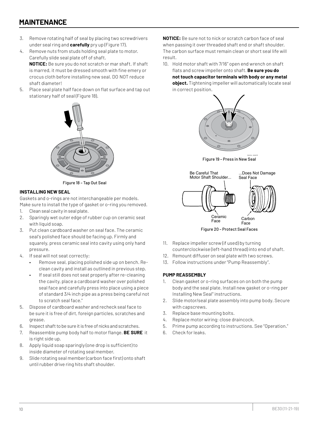# **MAINTENANCE**

- 3. Remove rotating half of seal by placing two screwdrivers under seal ring and **carefully** pry up (Figure 17).
- 4. Remove nuts from studs holding seal plate to motor. Carefully slide seal plate off of shaft. **NOTICE:** Be sure you do not scratch or mar shaft. If shaft is marred, it must be dressed smooth with fine emery or crocus cloth before installing new seal. DO NOT reduce shaft diameter!
- 5. Place seal plate half face down on flat surface and tap out stationary half of seal (Figure 18).



Figure 18 - Tap Out Seal

## **INSTALLING NEW SEAL**

Gaskets and o-rings are not interchangeable per models. Make sure to install the type of gasket or o-ring you removed.

- 1. Clean seal cavity in seal plate.
- 2. Sparingly wet outer edge of rubber cup on ceramic seat with liquid soap.
- 3. Put clean cardboard washer on seal face. The ceramic seal's polished face should be facing up. Firmly and squarely, press ceramic seal into cavity using only hand pressure.
- 4. If seal will not seat correctly:
	- Remove seal, placing polished side up on bench. Reclean cavity and install as outlined in previous step.
	- If seal still does not seat properly after re-cleaning the cavity, place a cardboard washer over polished seal face and carefully press into place using a piece of standard 3/4 inch pipe as a press being careful not to scratch seal face."
- 5. Dispose of cardboard washer and recheck seal face to be sure it is free of dirt, foreign particles, scratches and grease.
- 6. Inspect shaft to be sure it is free of nicks and scratches.
- 7. Reassemble pump body half to motor flange. **BE SURE** it is right side up.
- 8. Apply liquid soap sparingly (one drop is sufficient) to inside diameter of rotating seal member.
- 9. Slide rotating seal member (carbon face first) onto shaft until rubber drive ring hits shaft shoulder.

**NOTICE:** Be sure not to nick or scratch carbon face of seal when passing it over threaded shaft end or shaft shoulder. The carbon surface must remain clean or short seal life will result.

10. Hold motor shaft with 7/16" open end wrench on shaft flats and screw impeller onto shaft. **Be sure you do not touch capacitor terminals with body or any metal object.** Tightening impeller will automatically locate seal in correct position.



سمه بعد ہے۔<br>Figure 19 – Press in New Seal



Figure 20 – Protect Seal Faces

- 11. Replace impeller screw (if used) by turning counterclockwise (left-hand thread) into end of shaft.
- 12. Remount diffuser on seal plate with two screws.
- 13. Follow instructions under "Pump Reassembly".

## **PUMP REASSEMBLY**

- 1. Clean gasket or o-ring surfaces on on both the pump body and the seal plate. Install new gasket or o-ring per Installing New Seal" instructions.
- 2. Slide motor/seal plate assembly into pump body. Secure with capscrews.
- 3. Replace base mounting bolts.
- 4. Replace motor wiring; close draincock.
- 5. Prime pump according to instructions. See "Operation."
- 6. Check for leaks.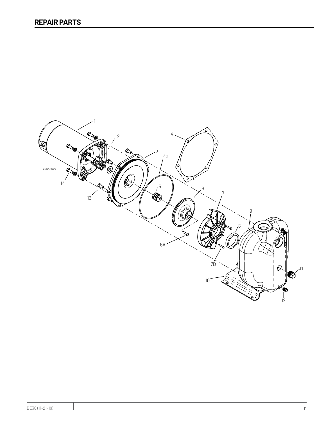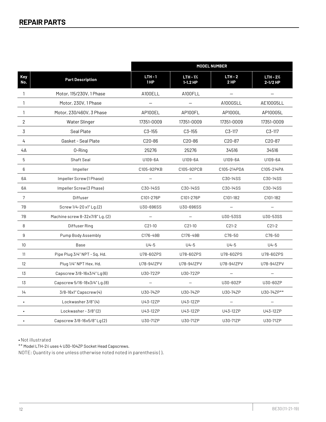# **REPAIR PARTS**

|                   |                                 |                |                         | <b>MODEL NUMBER</b> |                                  |
|-------------------|---------------------------------|----------------|-------------------------|---------------------|----------------------------------|
| Key<br>No.        | <b>Part Description</b>         | $LTH-1$<br>1HP | $LTH - 1$<br>$1-1.2$ HP | $LTH-2$<br>$2$ HP   | $LTH - 2\frac{1}{2}$<br>2-1/2 HP |
| 1                 | Motor, 115/230V, 1 Phase        | A100ELL        | A100FLL                 |                     |                                  |
| 1                 | Motor, 230V, 1 Phase            |                |                         | A100GSLL            | AE100G5LL                        |
| 1                 | Motor, 230/460V, 3 Phase        | AP100EL        | AP100FL                 | AP100GL             | AP100G5L                         |
| $\overline{2}$    | Water Slinger                   | 17351-0009     | 17351-0009              | 17351-0009          | 17351-0009                       |
| 3                 | Seal Plate                      | $C3-155$       | $C3-155$                | $C3-117$            | $C3-117$                         |
| 4                 | Gasket - Seal Plate             | C20-86         | C <sub>20</sub> -86     | C <sub>20</sub> -87 | C <sub>20</sub> -87              |
| 4A                | 0-Ring                          | 25276          | 25276                   | 34516               | 34516                            |
| 5                 | Shaft Seal                      | U109-6A        | U109-6A                 | U109-6A             | U109-6A                          |
| 6                 | Impeller                        | C105-92PKB     | C105-92PCB              | C105-214PDA         | C105-214PA                       |
| 6A                | Impeller Screw (1 Phase)        |                |                         | C30-14SS            | C30-14SS                         |
| 6A                | Impeller Screw (3 Phase)        | C30-14SS       | C30-14SS                | C30-14SS            | C30-14SS                         |
| 7                 | Diffuser                        | C101-276P      | C101-276P               | C101-182            | C101-182                         |
| 7В                | Screw 1/4-20 x1" Lg.(2)         | U30-696SS      | U30-696SS               |                     |                                  |
| 7B                | Machine screw 8-32x7/8" Lg. (2) |                |                         | U30-53SS            | U30-53SS                         |
| 8                 | Diffuser Ring                   | $C21-10$       | $C21-10$                | $C21-2$             | $C21-2$                          |
| 9                 | Pump Body Assembly              | C176-49B       | C176-49B                | C76-50              | C76-50                           |
| 10 <sup>10</sup>  | Base                            | $U4-5$         | $U4-5$                  | $U4-5$              | $U4-5$                           |
| 11                | Pipe Plug 3/4" NPT - Sq. Hd.    | U78-60ZPS      | U78-60ZPS               | U78-60ZPS           | U78-60ZPS                        |
| $12 \overline{ }$ | Plug 1/4" NPT Hex. Hd.          | U78-941ZPV     | U78-941ZPV              | U78-941ZPV          | U78-941ZPV                       |
| 13                | Capscrew 3/8-16x3/4" Lg(6)      | U30-72ZP       | U30-72ZP                |                     |                                  |
| 13                | Capscrew 5/16-18x3/4" Lg.(8)    |                |                         | U30-60ZP            | U30-60ZP                         |
| 14                | $3/8-16x1''$ Capscrew $(4)$     | U30-74ZP       | U30-74ZP                | U30-74ZP            | U30-74ZP**                       |
|                   | Lockwasher 3/8"(4)              | U43-12ZP       | U43-12ZP                |                     |                                  |
|                   | Lockwasher - 3/8"(2)            | U43-12ZP       | U43-12ZP                | U43-12ZP            | U43-12ZP                         |
|                   | Capscrew 3/8-16x5/8" Lg(2)      | U30-71ZP       | U30-71ZP                | U30-71ZP            | U30-71ZP                         |

• Not illustrated

\*\* Model LTH-21 ⁄2 uses 4 U30-104ZP Socket Head Capscrews.

NOTE: Quantity is one unless otherwise noted noted in parenthesis ( ).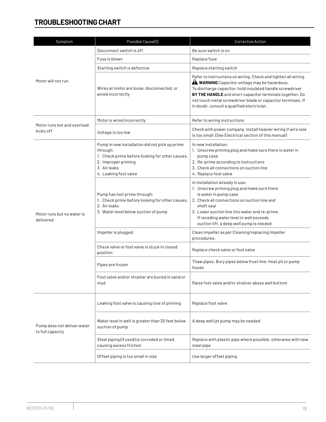# **TROUBLESHOOTING CHART**

| Symptom                                         | Possible Cause(S)                                                                                                                                                             | <b>Corrective Action</b>                                                                                                                                                                                                                                                                                                                                      |  |  |  |
|-------------------------------------------------|-------------------------------------------------------------------------------------------------------------------------------------------------------------------------------|---------------------------------------------------------------------------------------------------------------------------------------------------------------------------------------------------------------------------------------------------------------------------------------------------------------------------------------------------------------|--|--|--|
|                                                 | Disconnect switch is off                                                                                                                                                      | Be sure switch is on                                                                                                                                                                                                                                                                                                                                          |  |  |  |
|                                                 | Fuse is blown                                                                                                                                                                 | Replace fuse                                                                                                                                                                                                                                                                                                                                                  |  |  |  |
|                                                 | Starting switch is defective                                                                                                                                                  | Replace starting switch                                                                                                                                                                                                                                                                                                                                       |  |  |  |
| Motor will not run                              | Wires at motor are loose, disconnected, or<br>wired incorrectly                                                                                                               | Refer to instructions on wiring. Check and tighten all wiring.<br><b>A</b> WARNING Capacitor voltage may be hazardous.<br>To discharge capacitor, hold insulated handle screwdriver<br>BY THE HANDLE and short capacitor terminals together. Do<br>not touch metal screwdriver blade or capacitor terminals. If<br>in doubt, consult a qualified electrician. |  |  |  |
|                                                 | Motor is wired incorrectly                                                                                                                                                    | Refer to wiring instructions                                                                                                                                                                                                                                                                                                                                  |  |  |  |
| Motor runs hot and overload<br>kicks of f       | Voltage is too low                                                                                                                                                            | Check with power company. Install heavier wiring if wire size<br>is too small (See Electrical section of this manual)                                                                                                                                                                                                                                         |  |  |  |
| Motor runs but no water is<br>delivered         | Pump in new installation did not pick up prime<br>through:<br>1. Check prime before looking for other causes.<br>2. Improper priming<br>3. Air leaks<br>4. Leaking foot valve | In new installation:<br>1. Unscrew priming plug and make sure there is water in<br>pump case<br>2. Re-prime according to instructions<br>3. Check all connections on suction line<br>4. Replace foot valve                                                                                                                                                    |  |  |  |
|                                                 | Pump has lost prime through:<br>1. Check prime before looking for other causes.<br>2. Air leaks<br>3. Water level below suction of pump                                       | In installation already in use:<br>1. Unscrew priming plug and make sure there<br>is water in pump case<br>2. Check all connections on suction line and<br>shaft seal<br>3. Lower suction line into water and re-prime.<br>If receding water level in well exceeds<br>suction lift, a deep well pump is needed                                                |  |  |  |
|                                                 | Impeller is plugged                                                                                                                                                           | Clean impeller as per Cleaning/replacing Impeller<br>procedures.                                                                                                                                                                                                                                                                                              |  |  |  |
|                                                 | Check valve or foot valve is stuck in closed<br>position                                                                                                                      | Replace check valve or foot valve                                                                                                                                                                                                                                                                                                                             |  |  |  |
|                                                 | Pipes are frozen                                                                                                                                                              | Thaw pipes. Bury pipes below frost line. Heat pit or pump<br>house                                                                                                                                                                                                                                                                                            |  |  |  |
|                                                 | Foot valve and/or strainer are buried in sand or<br>mud                                                                                                                       | Raise foot valve and/or strainer above well bottom                                                                                                                                                                                                                                                                                                            |  |  |  |
|                                                 | Leaking foot valve is causing lose of priming                                                                                                                                 | Replace foot valve                                                                                                                                                                                                                                                                                                                                            |  |  |  |
| Pump does not deliver water<br>to full capacity | Water level in well is greater than 25 feet below<br>suction of pump                                                                                                          | A deep well jet pump may be needed                                                                                                                                                                                                                                                                                                                            |  |  |  |
|                                                 | Steel piping (if used) is corroded or limed,<br>causing excess friction                                                                                                       | Replace with plastic pipe where possible, otherwise with new<br>steel pipe                                                                                                                                                                                                                                                                                    |  |  |  |
|                                                 | Offset piping is too small in size                                                                                                                                            | Use larger offset piping                                                                                                                                                                                                                                                                                                                                      |  |  |  |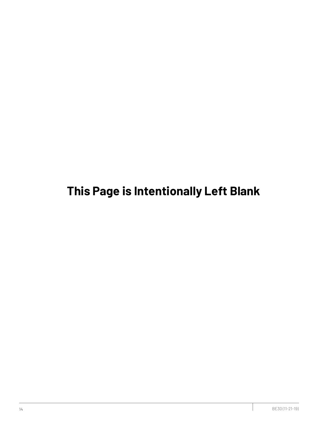# **This Page is Intentionally Left Blank**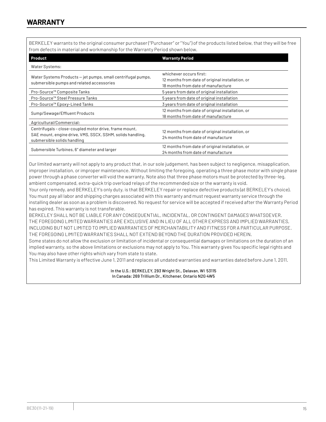## **WARRANTY**

BERKELEY warrants to the original consumer purchaser ("Purchaser" or "You") of the products listed below, that they will be free from defects in material and workmanship for the Warranty Period shown below.

| Product                                                                                                                                             | <b>Warranty Period</b>                                                                                            |
|-----------------------------------------------------------------------------------------------------------------------------------------------------|-------------------------------------------------------------------------------------------------------------------|
| Water Systems:                                                                                                                                      |                                                                                                                   |
| Water Systems Products - jet pumps, small centrifugal pumps,<br>submersible pumps and related accessories                                           | whichever occurs first:<br>12 months from date of original installation, or<br>18 months from date of manufacture |
| Pro-Source™ Composite Tanks                                                                                                                         | 5 years from date of original installation                                                                        |
| Pro-Source™ Steel Pressure Tanks                                                                                                                    | 5 years from date of original installation                                                                        |
| Pro-Source™ Epoxy-Lined Tanks                                                                                                                       | 3 years from date of original installation                                                                        |
| Sump/Sewage/Effluent Products                                                                                                                       | 12 months from date of original installation, or<br>18 months from date of manufacture                            |
| Agricultural/Commercial:                                                                                                                            |                                                                                                                   |
| Centrifugals - close-coupled motor drive, frame mount,<br>SAE mount, engine drive, VMS, SSCX, SSHM, solids handling,<br>submersible solids handling | 12 months from date of original installation, or<br>24 months from date of manufacture                            |
| Submersible Turbines, 6" diameter and larger                                                                                                        | 12 months from date of original installation, or<br>24 months from date of manufacture                            |

Our limited warranty will not apply to any product that, in our sole judgement, has been subject to negligence, misapplication, improper installation, or improper maintenance. Without limiting the foregoing, operating a three phase motor with single phase power through a phase converter will void the warranty. Note also that three phase motors must be protected by three-leg, ambient compensated, extra-quick trip overload relays of the recommended size or the warranty is void.

Your only remedy, and BERKELEY's only duty, is that BERKELEY repair or replace defective products (at BERKELEY's choice). You must pay all labor and shipping charges associated with this warranty and must request warranty service through the installing dealer as soon as a problem is discovered. No request for service will be accepted if received after the Warranty Period has expired. This warranty is not transferable.

BERKELEY SHALL NOT BE LIABLE FOR ANY CONSEQUENTIAL, INCIDENTAL, OR CONTINGENT DAMAGES WHATSOEVER. THE FOREGOING LIMITED WARRANTIES ARE EXCLUSIVE AND IN LIEU OF ALL OTHER EXPRESS AND IMPLIED WARRANTIES, INCLUDING BUT NOT LIMITED TO IMPLIED WARRANTIES OF MERCHANTABILITY AND FITNESS FOR A PARTICULAR PURPOSE. THE FOREGOING LIMITED WARRANTIES SHALL NOT EXTEND BEYOND THE DURATION PROVIDED HEREIN.

Some states do not allow the exclusion or limitation of incidental or consequential damages or limitations on the duration of an implied warranty, so the above limitations or exclusions may not apply to You. This warranty gives You specific legal rights and You may also have other rights which vary from state to state.

This Limited Warranty is effective June 1, 2011 and replaces all undated warranties and warranties dated before June 1, 2011.

In the U.S.: BERKELEY, 293 Wright St., Delavan, WI 53115 In Canada: 269 Trillium Dr., Kitchener, Ontario N2G 4W5